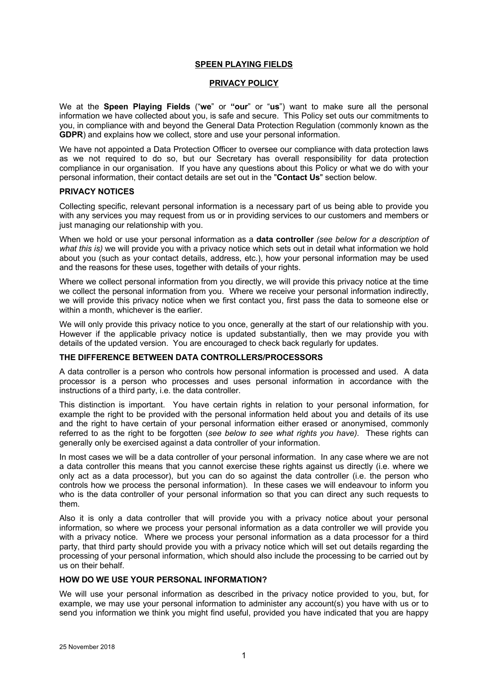### **SPEEN PLAYING FIELDS**

#### **PRIVACY POLICY**

We at the **Speen Playing Fields** ("**we**" or **"our**" or "**us**") want to make sure all the personal information we have collected about you, is safe and secure. This Policy set outs our commitments to you, in compliance with and beyond the General Data Protection Regulation (commonly known as the **GDPR**) and explains how we collect, store and use your personal information.

We have not appointed a Data Protection Officer to oversee our compliance with data protection laws as we not required to do so, but our Secretary has overall responsibility for data protection compliance in our organisation. If you have any questions about this Policy or what we do with your personal information, their contact details are set out in the "**Contact Us**" section below.

#### **PRIVACY NOTICES**

Collecting specific, relevant personal information is a necessary part of us being able to provide you with any services you may request from us or in providing services to our customers and members or just managing our relationship with you.

When we hold or use your personal information as a **data controller** *(see below for a description of*  what this is) we will provide you with a privacy notice which sets out in detail what information we hold about you (such as your contact details, address, etc.), how your personal information may be used and the reasons for these uses, together with details of your rights.

Where we collect personal information from you directly, we will provide this privacy notice at the time we collect the personal information from you. Where we receive your personal information indirectly, we will provide this privacy notice when we first contact you, first pass the data to someone else or within a month, whichever is the earlier.

We will only provide this privacy notice to you once, generally at the start of our relationship with you. However if the applicable privacy notice is updated substantially, then we may provide you with details of the updated version. You are encouraged to check back regularly for updates.

#### **THE DIFFERENCE BETWEEN DATA CONTROLLERS/PROCESSORS**

A data controller is a person who controls how personal information is processed and used. A data processor is a person who processes and uses personal information in accordance with the instructions of a third party, i.e. the data controller.

This distinction is important. You have certain rights in relation to your personal information, for example the right to be provided with the personal information held about you and details of its use and the right to have certain of your personal information either erased or anonymised, commonly referred to as the right to be forgotten (*see below to see what rights you have).* These rights can generally only be exercised against a data controller of your information.

In most cases we will be a data controller of your personal information. In any case where we are not a data controller this means that you cannot exercise these rights against us directly (i.e. where we only act as a data processor), but you can do so against the data controller (i.e. the person who controls how we process the personal information). In these cases we will endeavour to inform you who is the data controller of your personal information so that you can direct any such requests to them.

Also it is only a data controller that will provide you with a privacy notice about your personal information, so where we process your personal information as a data controller we will provide you with a privacy notice. Where we process your personal information as a data processor for a third party, that third party should provide you with a privacy notice which will set out details regarding the processing of your personal information, which should also include the processing to be carried out by us on their behalf.

# **HOW DO WE USE YOUR PERSONAL INFORMATION?**

We will use your personal information as described in the privacy notice provided to you, but, for example, we may use your personal information to administer any account(s) you have with us or to send you information we think you might find useful, provided you have indicated that you are happy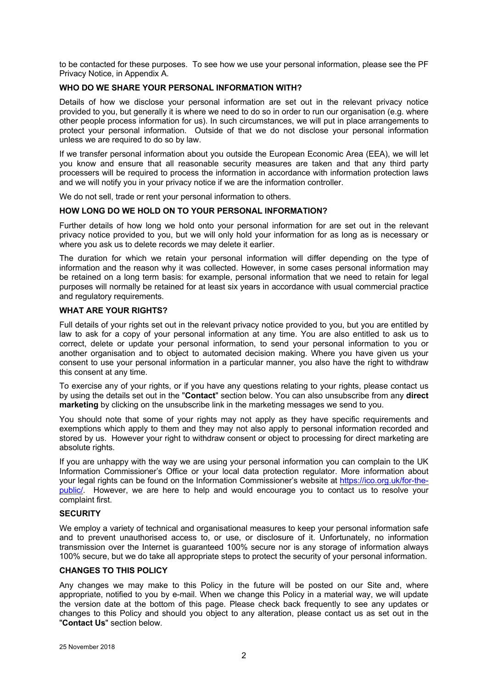to be contacted for these purposes. To see how we use your personal information, please see the PF Privacy Notice, in Appendix A.

### **WHO DO WE SHARE YOUR PERSONAL INFORMATION WITH?**

Details of how we disclose your personal information are set out in the relevant privacy notice provided to you, but generally it is where we need to do so in order to run our organisation (e.g. where other people process information for us). In such circumstances, we will put in place arrangements to protect your personal information. Outside of that we do not disclose your personal information unless we are required to do so by law.

If we transfer personal information about you outside the European Economic Area (EEA), we will let you know and ensure that all reasonable security measures are taken and that any third party processers will be required to process the information in accordance with information protection laws and we will notify you in your privacy notice if we are the information controller.

We do not sell, trade or rent your personal information to others.

### **HOW LONG DO WE HOLD ON TO YOUR PERSONAL INFORMATION?**

Further details of how long we hold onto your personal information for are set out in the relevant privacy notice provided to you, but we will only hold your information for as long as is necessary or where you ask us to delete records we may delete it earlier.

The duration for which we retain your personal information will differ depending on the type of information and the reason why it was collected. However, in some cases personal information may be retained on a long term basis: for example, personal information that we need to retain for legal purposes will normally be retained for at least six years in accordance with usual commercial practice and regulatory requirements.

### **WHAT ARE YOUR RIGHTS?**

Full details of your rights set out in the relevant privacy notice provided to you, but you are entitled by law to ask for a copy of your personal information at any time. You are also entitled to ask us to correct, delete or update your personal information, to send your personal information to you or another organisation and to object to automated decision making. Where you have given us your consent to use your personal information in a particular manner, you also have the right to withdraw this consent at any time.

To exercise any of your rights, or if you have any questions relating to your rights, please contact us by using the details set out in the "**Contact**" section below. You can also unsubscribe from any **direct marketing** by clicking on the unsubscribe link in the marketing messages we send to you.

You should note that some of your rights may not apply as they have specific requirements and exemptions which apply to them and they may not also apply to personal information recorded and stored by us. However your right to withdraw consent or object to processing for direct marketing are absolute rights.

If you are unhappy with the way we are using your personal information you can complain to the UK Information Commissioner's Office or your local data protection regulator. More information about your legal rights can be found on the Information Commissioner's website at https://ico.org.uk/for-thepublic/. However, we are here to help and would encourage you to contact us to resolve your complaint first.

#### **SECURITY**

We employ a variety of technical and organisational measures to keep your personal information safe and to prevent unauthorised access to, or use, or disclosure of it. Unfortunately, no information transmission over the Internet is guaranteed 100% secure nor is any storage of information always 100% secure, but we do take all appropriate steps to protect the security of your personal information.

### **CHANGES TO THIS POLICY**

Any changes we may make to this Policy in the future will be posted on our Site and, where appropriate, notified to you by e-mail. When we change this Policy in a material way, we will update the version date at the bottom of this page. Please check back frequently to see any updates or changes to this Policy and should you object to any alteration, please contact us as set out in the "**Contact Us**" section below.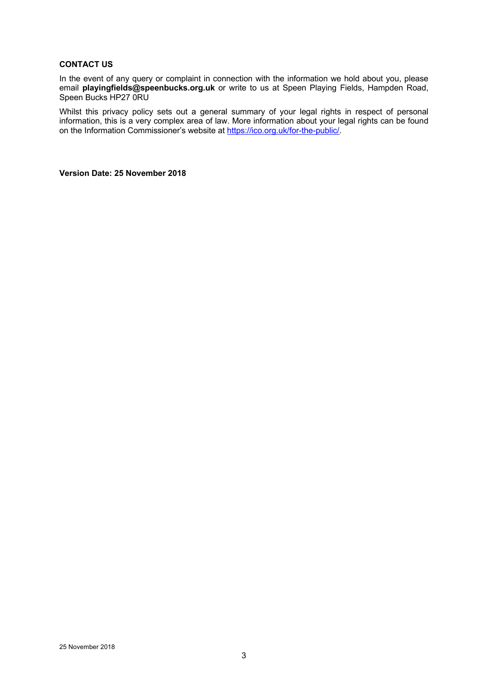# **CONTACT US**

In the event of any query or complaint in connection with the information we hold about you, please email **playingfields@speenbucks.org.uk** or write to us at Speen Playing Fields, Hampden Road, Speen Bucks HP27 0RU

Whilst this privacy policy sets out a general summary of your legal rights in respect of personal information, this is a very complex area of law. More information about your legal rights can be found on the Information Commissioner's website at https://ico.org.uk/for-the-public/.

**Version Date: 25 November 2018**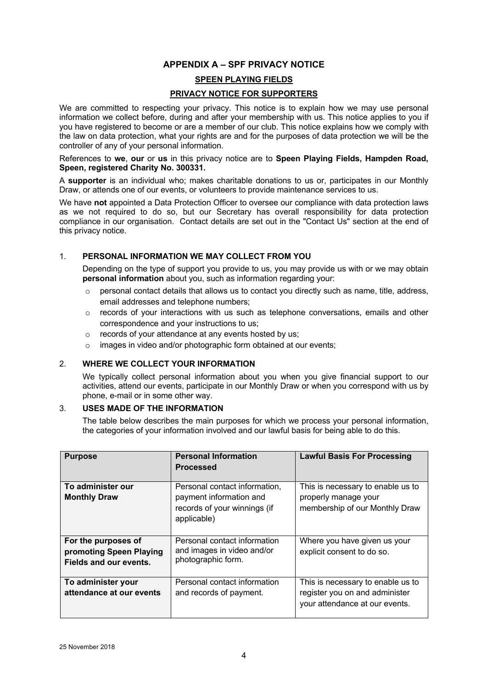# **APPENDIX A – SPF PRIVACY NOTICE**

# **SPEEN PLAYING FIELDS**

## **PRIVACY NOTICE FOR SUPPORTERS**

We are committed to respecting your privacy. This notice is to explain how we may use personal information we collect before, during and after your membership with us. This notice applies to you if you have registered to become or are a member of our club. This notice explains how we comply with the law on data protection, what your rights are and for the purposes of data protection we will be the controller of any of your personal information.

#### References to **we**, **our** or **us** in this privacy notice are to **Speen Playing Fields, Hampden Road, Speen, registered Charity No. 300331.**

A **supporter** is an individual who; makes charitable donations to us or, participates in our Monthly Draw, or attends one of our events, or volunteers to provide maintenance services to us.

We have **not** appointed a Data Protection Officer to oversee our compliance with data protection laws as we not required to do so, but our Secretary has overall responsibility for data protection compliance in our organisation. Contact details are set out in the "Contact Us" section at the end of this privacy notice.

# 1. **PERSONAL INFORMATION WE MAY COLLECT FROM YOU**

Depending on the type of support you provide to us, you may provide us with or we may obtain **personal information** about you, such as information regarding your:

- o personal contact details that allows us to contact you directly such as name, title, address, email addresses and telephone numbers;
- $\circ$  records of your interactions with us such as telephone conversations, emails and other correspondence and your instructions to us;
- o records of your attendance at any events hosted by us;
- o images in video and/or photographic form obtained at our events;

# 2. **WHERE WE COLLECT YOUR INFORMATION**

We typically collect personal information about you when you give financial support to our activities, attend our events, participate in our Monthly Draw or when you correspond with us by phone, e-mail or in some other way.

#### 3. **USES MADE OF THE INFORMATION**

The table below describes the main purposes for which we process your personal information, the categories of your information involved and our lawful basis for being able to do this.

| <b>Purpose</b>                                                           | <b>Personal Information</b><br><b>Processed</b>                                                         | <b>Lawful Basis For Processing</b>                                                                    |
|--------------------------------------------------------------------------|---------------------------------------------------------------------------------------------------------|-------------------------------------------------------------------------------------------------------|
| To administer our<br><b>Monthly Draw</b>                                 | Personal contact information,<br>payment information and<br>records of your winnings (if<br>applicable) | This is necessary to enable us to<br>properly manage your<br>membership of our Monthly Draw           |
| For the purposes of<br>promoting Speen Playing<br>Fields and our events. | Personal contact information<br>and images in video and/or<br>photographic form.                        | Where you have given us your<br>explicit consent to do so.                                            |
| To administer your<br>attendance at our events                           | Personal contact information<br>and records of payment.                                                 | This is necessary to enable us to<br>register you on and administer<br>your attendance at our events. |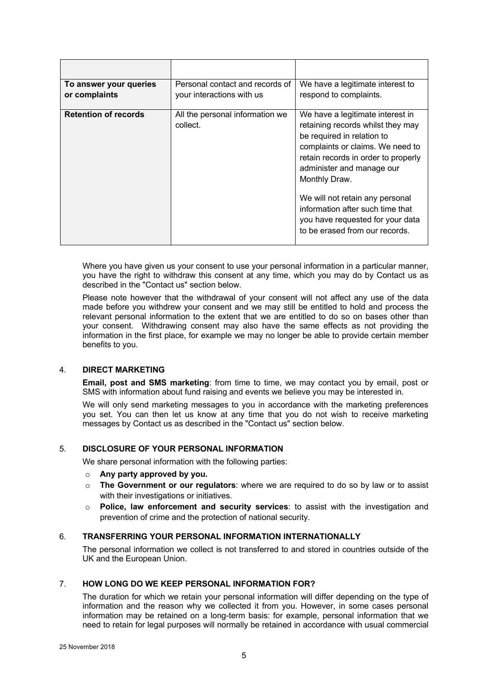| To answer your queries<br>or complaints | Personal contact and records of<br>your interactions with us | We have a legitimate interest to<br>respond to complaints.                                                                                                                                                                  |
|-----------------------------------------|--------------------------------------------------------------|-----------------------------------------------------------------------------------------------------------------------------------------------------------------------------------------------------------------------------|
| <b>Retention of records</b>             | All the personal information we                              | We have a legitimate interest in                                                                                                                                                                                            |
|                                         | collect.                                                     | retaining records whilst they may<br>be required in relation to<br>complaints or claims. We need to<br>retain records in order to properly<br>administer and manage our<br>Monthly Draw.<br>We will not retain any personal |
|                                         |                                                              | information after such time that<br>you have requested for your data<br>to be erased from our records.                                                                                                                      |

Where you have given us your consent to use your personal information in a particular manner. you have the right to withdraw this consent at any time, which you may do by Contact us as described in the "Contact us" section below.

Please note however that the withdrawal of your consent will not affect any use of the data made before you withdrew your consent and we may still be entitled to hold and process the relevant personal information to the extent that we are entitled to do so on bases other than your consent. Withdrawing consent may also have the same effects as not providing the information in the first place, for example we may no longer be able to provide certain member benefits to you.

# 4. **DIRECT MARKETING**

**Email, post and SMS marketing**: from time to time, we may contact you by email, post or SMS with information about fund raising and events we believe you may be interested in.

We will only send marketing messages to you in accordance with the marketing preferences you set. You can then let us know at any time that you do not wish to receive marketing messages by Contact us as described in the "Contact us" section below.

# 5. **DISCLOSURE OF YOUR PERSONAL INFORMATION**

We share personal information with the following parties:

- o **Any party approved by you.**
- o **The Government or our regulators**: where we are required to do so by law or to assist with their investigations or initiatives.
- o **Police, law enforcement and security services**: to assist with the investigation and prevention of crime and the protection of national security.

### 6. **TRANSFERRING YOUR PERSONAL INFORMATION INTERNATIONALLY**

The personal information we collect is not transferred to and stored in countries outside of the UK and the European Union.

### 7. **HOW LONG DO WE KEEP PERSONAL INFORMATION FOR?**

The duration for which we retain your personal information will differ depending on the type of information and the reason why we collected it from you. However, in some cases personal information may be retained on a long-term basis: for example, personal information that we need to retain for legal purposes will normally be retained in accordance with usual commercial